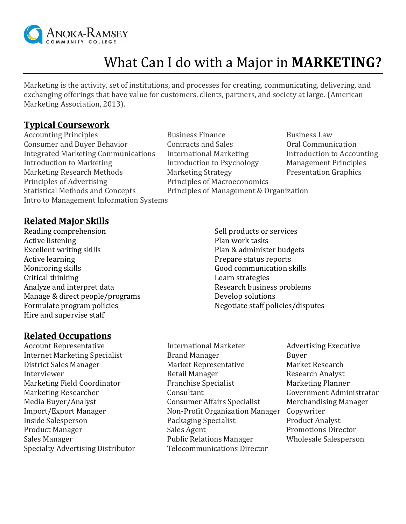

# What Can I do with a Major in **MARKETING?**

Marketing is the activity, set of institutions, and processes for creating, communicating, delivering, and exchanging offerings that have value for customers, clients, partners, and society at large. (American Marketing Association, 2013).

#### **Typical Coursework**

Consumer and Buyer Behavior Contracts and Sales Oral Communication Integrated Marketing Communications International Marketing Introduction to Accounting Introduction to Marketing Theorem Introduction to Psychology Management Principles Marketing Research Methods Marketing Strategy Presentation Graphics Principles of Advertising Principles of Macroeconomics Statistical Methods and Concepts Principles of Management & Organization Intro to Management Information Systems

Accounting Principles **Business Finance** Business Law

## **Related Major Skills**

Reading comprehension Active listening Excellent writing skills Active learning Monitoring skills Critical thinking Analyze and interpret data Manage & direct people/programs Formulate program policies Hire and supervise staff

Sell products or services Plan work tasks Plan & administer budgets Prepare status reports Good communication skills Learn strategies Research business problems Develop solutions Negotiate staff policies/disputes

#### **Related Occupations**

- Specialty Advertising Distributor Telecommunications Director
- Account Representative **International Marketer** Advertising Executive Internet Marketing Specialist **Brand Manager** Buyer District Sales Manager Market Representative Market Research Interviewer **Retail Manager** Research Analyst Marketing Field Coordinator Franchise Specialist Franchise Specialist Marketing Planner Marketing Researcher **Consultant** Consultant Government Administrator Media Buyer/Analyst Consumer Affairs Specialist Merchandising Manager Import/Export Manager Non-Profit Organization Manager Copywriter Inside Salesperson Packaging Specialist Product Analyst Product Manager Sales Agent Sales Agent Promotions Director Sales Manager Public Relations Manager Wholesale Salesperson
-